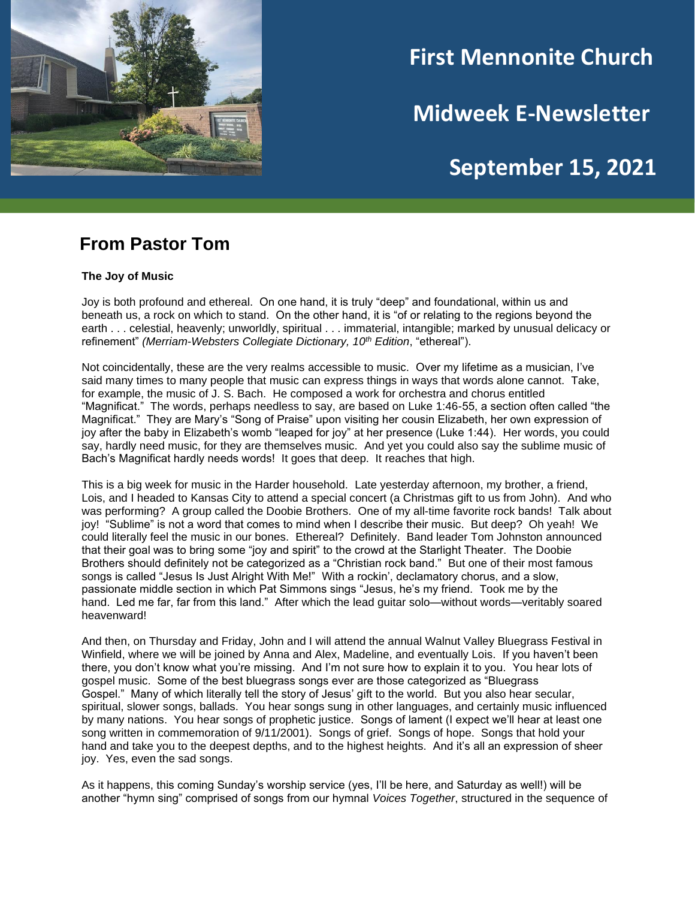

# **First Mennonite Church**

**Midweek E-Newsletter**

# **September 15, 2021**

**202120212021**

### **From Pastor Tom**

#### **The Joy of Music**

Joy is both profound and ethereal. On one hand, it is truly "deep" and foundational, within us and beneath us, a rock on which to stand. On the other hand, it is "of or relating to the regions beyond the earth . . . celestial, heavenly; unworldly, spiritual . . . immaterial, intangible; marked by unusual delicacy or refinement" *(Merriam-Websters Collegiate Dictionary, 10th Edition*, "ethereal").

Not coincidentally, these are the very realms accessible to music. Over my lifetime as a musician, I've said many times to many people that music can express things in ways that words alone cannot. Take, for example, the music of J. S. Bach. He composed a work for orchestra and chorus entitled "Magnificat." The words, perhaps needless to say, are based on Luke 1:46-55, a section often called "the Magnificat." They are Mary's "Song of Praise" upon visiting her cousin Elizabeth, her own expression of joy after the baby in Elizabeth's womb "leaped for joy" at her presence (Luke 1:44). Her words, you could say, hardly need music, for they are themselves music. And yet you could also say the sublime music of Bach's Magnificat hardly needs words! It goes that deep. It reaches that high.

This is a big week for music in the Harder household. Late yesterday afternoon, my brother, a friend, Lois, and I headed to Kansas City to attend a special concert (a Christmas gift to us from John). And who was performing? A group called the Doobie Brothers. One of my all-time favorite rock bands! Talk about joy! "Sublime" is not a word that comes to mind when I describe their music. But deep? Oh yeah! We could literally feel the music in our bones. Ethereal? Definitely. Band leader Tom Johnston announced that their goal was to bring some "joy and spirit" to the crowd at the Starlight Theater. The Doobie Brothers should definitely not be categorized as a "Christian rock band." But one of their most famous songs is called "Jesus Is Just Alright With Me!" With a rockin', declamatory chorus, and a slow, passionate middle section in which Pat Simmons sings "Jesus, he's my friend. Took me by the hand. Led me far, far from this land." After which the lead guitar solo—without words—veritably soared heavenward!

And then, on Thursday and Friday, John and I will attend the annual Walnut Valley Bluegrass Festival in Winfield, where we will be joined by Anna and Alex, Madeline, and eventually Lois. If you haven't been there, you don't know what you're missing. And I'm not sure how to explain it to you. You hear lots of gospel music. Some of the best bluegrass songs ever are those categorized as "Bluegrass Gospel." Many of which literally tell the story of Jesus' gift to the world. But you also hear secular, spiritual, slower songs, ballads. You hear songs sung in other languages, and certainly music influenced by many nations. You hear songs of prophetic justice. Songs of lament (I expect we'll hear at least one song written in commemoration of 9/11/2001). Songs of grief. Songs of hope. Songs that hold your hand and take you to the deepest depths, and to the highest heights. And it's all an expression of sheer joy. Yes, even the sad songs.

As it happens, this coming Sunday's worship service (yes, I'll be here, and Saturday as well!) will be another "hymn sing" comprised of songs from our hymnal *Voices Together*, structured in the sequence of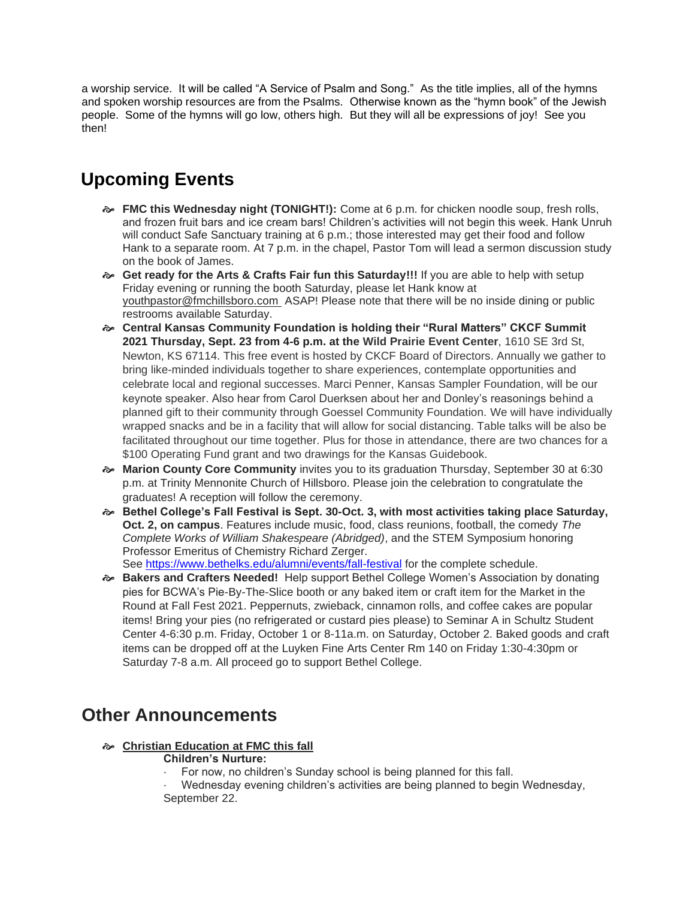a worship service. It will be called "A Service of Psalm and Song." As the title implies, all of the hymns and spoken worship resources are from the Psalms. Otherwise known as the "hymn book" of the Jewish people. Some of the hymns will go low, others high. But they will all be expressions of joy! See you then!

## **Upcoming Events**

- **FMC this Wednesday night (TONIGHT!):** Come at 6 p.m. for chicken noodle soup, fresh rolls, and frozen fruit bars and ice cream bars! Children's activities will not begin this week. Hank Unruh will conduct Safe Sanctuary training at 6 p.m.; those interested may get their food and follow Hank to a separate room. At 7 p.m. in the chapel, Pastor Tom will lead a sermon discussion study on the book of James.
- **Get ready for the Arts & Crafts Fair fun this Saturday!!!** If you are able to help with setup Friday evening or running the booth Saturday, please let Hank know at youthpastor@fmchillsboro.com ASAP! Please note that there will be no inside dining or public restrooms available Saturday.
- **Central Kansas Community Foundation is holding their "Rural Matters" CKCF Summit 2021 Thursday, Sept. 23 from 4-6 p.m. at the Wild Prairie Event Center**, 1610 SE 3rd St, Newton, KS 67114. This free event is hosted by CKCF Board of Directors. Annually we gather to bring like-minded individuals together to share experiences, contemplate opportunities and celebrate local and regional successes. Marci Penner, Kansas Sampler Foundation, will be our keynote speaker. Also hear from Carol Duerksen about her and Donley's reasonings behind a planned gift to their community through Goessel Community Foundation. We will have individually wrapped snacks and be in a facility that will allow for social distancing. Table talks will be also be facilitated throughout our time together. Plus for those in attendance, there are two chances for a \$100 Operating Fund grant and two drawings for the Kansas Guidebook.
- **Marion County Core Community** invites you to its graduation Thursday, September 30 at 6:30 p.m. at Trinity Mennonite Church of Hillsboro. Please join the celebration to congratulate the graduates! A reception will follow the ceremony.
- **Bethel College's Fall Festival is Sept. 30-Oct. 3, with most activities taking place Saturday, Oct. 2, on campus**. Features include music, food, class reunions, football, the comedy *The Complete Works of William Shakespeare (Abridged)*, and the STEM Symposium honoring Professor Emeritus of Chemistry Richard Zerger. See <https://www.bethelks.edu/alumni/events/fall-festival> for the complete schedule.
- **Bakers and Crafters Needed!** Help support Bethel College Women's Association by donating pies for BCWA's Pie-By-The-Slice booth or any baked item or craft item for the Market in the Round at Fall Fest 2021. Peppernuts, zwieback, cinnamon rolls, and coffee cakes are popular items! Bring your pies (no refrigerated or custard pies please) to Seminar A in Schultz Student Center 4-6:30 p.m. Friday, October 1 or 8-11a.m. on Saturday, October 2. Baked goods and craft items can be dropped off at the Luyken Fine Arts Center Rm 140 on Friday 1:30-4:30pm or Saturday 7-8 a.m. All proceed go to support Bethel College.

### **Other Announcements**

### **Christian Education at FMC this fall**

### **Children's Nurture:**

For now, no children's Sunday school is being planned for this fall.

· Wednesday evening children's activities are being planned to begin Wednesday, September 22.